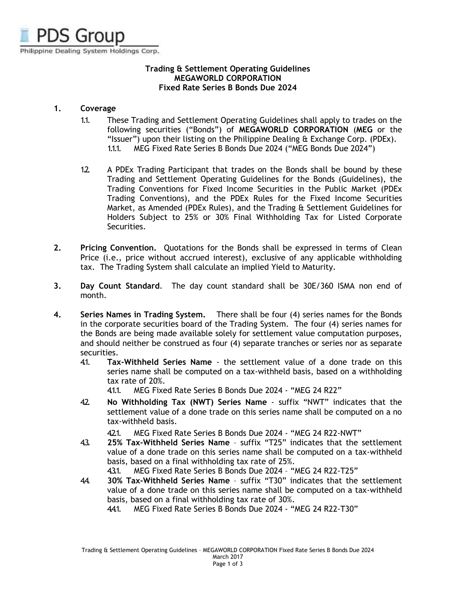

## **Trading & Settlement Operating Guidelines MEGAWORLD CORPORATION Fixed Rate Series B Bonds Due 2024**

# **1. Coverage**

- 1.1. These Trading and Settlement Operating Guidelines shall apply to trades on the following securities ("Bonds") of **MEGAWORLD CORPORATION** (**MEG** or the "Issuer") upon their listing on the Philippine Dealing & Exchange Corp. (PDEx). 1.1.1. MEG Fixed Rate Series B Bonds Due 2024 ("MEG Bonds Due 2024")
- 1.2. A PDEx Trading Participant that trades on the Bonds shall be bound by these Trading and Settlement Operating Guidelines for the Bonds (Guidelines), the Trading Conventions for Fixed Income Securities in the Public Market (PDEx Trading Conventions), and the PDEx Rules for the Fixed Income Securities Market, as Amended (PDEx Rules), and the Trading & Settlement Guidelines for Holders Subject to 25% or 30% Final Withholding Tax for Listed Corporate Securities.
- **2. Pricing Convention.** Quotations for the Bonds shall be expressed in terms of Clean Price (i.e., price without accrued interest), exclusive of any applicable withholding tax. The Trading System shall calculate an implied Yield to Maturity.
- **3. Day Count Standard**. The day count standard shall be 30E/360 ISMA non end of month.
- **4. Series Names in Trading System.** There shall be four (4) series names for the Bonds in the corporate securities board of the Trading System. The four (4) series names for the Bonds are being made available solely for settlement value computation purposes, and should neither be construed as four (4) separate tranches or series nor as separate securities.
	- 4.1. **Tax-Withheld Series Name** the settlement value of a done trade on this series name shall be computed on a tax-withheld basis, based on a withholding tax rate of 20%.

4.1.1. MEG Fixed Rate Series B Bonds Due 2024 - "MEG 24 R22"

- 4.2. **No Withholding Tax (NWT) Series Name** suffix "NWT" indicates that the settlement value of a done trade on this series name shall be computed on a no tax-withheld basis.
	- 421. MEG Fixed Rate Series B Bonds Due 2024 "MEG 24 R22-NWT"
- 4.3. **25% Tax-Withheld Series Name** suffix "T25" indicates that the settlement value of a done trade on this series name shall be computed on a tax-withheld basis, based on a final withholding tax rate of 25%.
	- 4.3.1. MEG Fixed Rate Series B Bonds Due 2024 "MEG 24 R22-T25"
- 4.4. **30% Tax-Withheld Series Name** suffix "T30" indicates that the settlement value of a done trade on this series name shall be computed on a tax-withheld basis, based on a final withholding tax rate of 30%.

4.4.1. MEG Fixed Rate Series B Bonds Due 2024 - "MEG 24 R22-T30"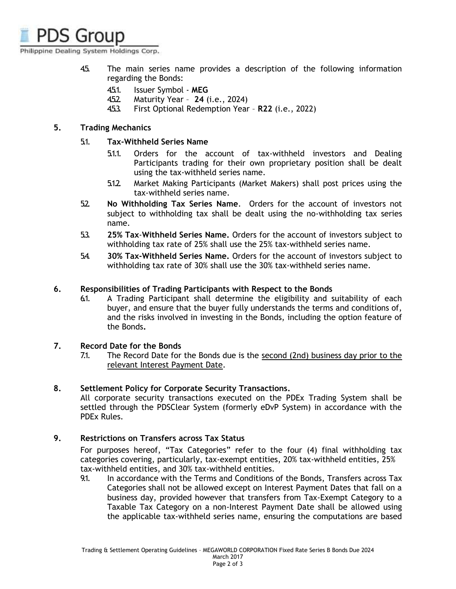Philippine Dealing System Holdings Corp.

- 4.5. The main series name provides a description of the following information regarding the Bonds:
	- 4.5.1. Issuer Symbol **MEG**
	- 4.5.2. Maturity Year **24** (i.e., 2024)
	- 4.5.3. First Optional Redemption Year **R22** (i.e., 2022)

## **5. Trading Mechanics**

## 5.1. **Tax-Withheld Series Name**

- 5.1.1. Orders for the account of tax-withheld investors and Dealing Participants trading for their own proprietary position shall be dealt using the tax-withheld series name.
- 5.1.2. Market Making Participants (Market Makers) shall post prices using the tax-withheld series name.
- 5.2. **No Withholding Tax Series Name**. Orders for the account of investors not subject to withholding tax shall be dealt using the no-withholding tax series name.
- 5.3. **25% Tax**-**Withheld Series Name.** Orders for the account of investors subject to withholding tax rate of 25% shall use the 25% tax-withheld series name.
- 5.4. **30% Tax-Withheld Series Name.** Orders for the account of investors subject to withholding tax rate of 30% shall use the 30% tax-withheld series name.

### **6. Responsibilities of Trading Participants with Respect to the Bonds**

6.1. A Trading Participant shall determine the eligibility and suitability of each buyer, and ensure that the buyer fully understands the terms and conditions of, and the risks involved in investing in the Bonds, including the option feature of the Bonds**.**

### **7. Record Date for the Bonds**

7.1. The Record Date for the Bonds due is the second (2nd) business day prior to the relevant Interest Payment Date.

### **8. Settlement Policy for Corporate Security Transactions.**

All corporate security transactions executed on the PDEx Trading System shall be settled through the PDSClear System (formerly eDvP System) in accordance with the PDEx Rules.

### **9. Restrictions on Transfers across Tax Status**

For purposes hereof, "Tax Categories" refer to the four (4) final withholding tax categories covering, particularly, tax-exempt entities, 20% tax-withheld entities, 25% tax-withheld entities, and 30% tax-withheld entities.

9.1. In accordance with the Terms and Conditions of the Bonds, Transfers across Tax Categories shall not be allowed except on Interest Payment Dates that fall on a business day, provided however that transfers from Tax-Exempt Category to a Taxable Tax Category on a non-Interest Payment Date shall be allowed using the applicable tax-withheld series name, ensuring the computations are based